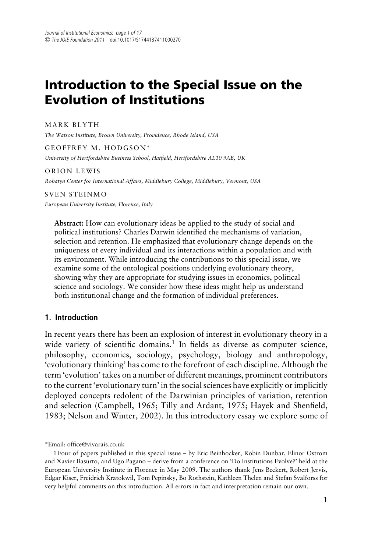# Introduction to the Special Issue on the Evolution of Institutions

MARK BLYTH

*The Watson Institute, Brown University, Providence, Rhode Island, USA*

GEOFFREY M. HODGSON <sup>∗</sup> *University of Hertfordshire Business School, Hatfield, Hertfordshire AL10 9AB, UK*

ORION LEWIS

*Rohatyn Center for International Affairs, Middlebury College, Middlebury, Vermont, USA*

SVEN STEINMO *European University Institute, Florence, Italy*

**Abstract:** How can evolutionary ideas be applied to the study of social and political institutions? Charles Darwin identified the mechanisms of variation, selection and retention. He emphasized that evolutionary change depends on the uniqueness of every individual and its interactions within a population and with its environment. While introducing the contributions to this special issue, we examine some of the ontological positions underlying evolutionary theory, showing why they are appropriate for studying issues in economics, political science and sociology. We consider how these ideas might help us understand both institutional change and the formation of individual preferences.

# **1. Introduction**

In recent years there has been an explosion of interest in evolutionary theory in a wide variety of scientific domains.<sup>1</sup> In fields as diverse as computer science, philosophy, economics, sociology, psychology, biology and anthropology, 'evolutionary thinking' has come to the forefront of each discipline. Although the term 'evolution' takes on a number of different meanings, prominent contributors to the current 'evolutionary turn' in the social sciences have explicitly or implicitly deployed concepts redolent of the Darwinian principles of variation, retention and selection (Campbell, 1965; Tilly and Ardant, 1975; Hayek and Shenfield, 1983; Nelson and Winter, 2002). In this introductory essay we explore some of

<sup>∗</sup>Email: office@vivarais.co.uk

<sup>1</sup> Four of papers published in this special issue – by Eric Beinhocker, Robin Dunbar, Elinor Ostrom and Xavier Basurto, and Ugo Pagano – derive from a conference on 'Do Institutions Evolve?' held at the European University Institute in Florence in May 2009. The authors thank Jens Beckert, Robert Jervis, Edgar Kiser, Freidrich Kratokwil, Tom Pepinsky, Bo Rothstein, Kathleen Thelen and Stefan Svalforss for very helpful comments on this introduction. All errors in fact and interpretation remain our own.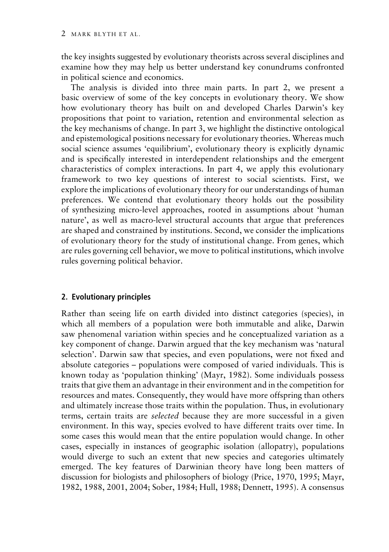the key insights suggested by evolutionary theorists across several disciplines and examine how they may help us better understand key conundrums confronted in political science and economics.

The analysis is divided into three main parts. In part 2, we present a basic overview of some of the key concepts in evolutionary theory. We show how evolutionary theory has built on and developed Charles Darwin's key propositions that point to variation, retention and environmental selection as the key mechanisms of change. In part 3, we highlight the distinctive ontological and epistemological positions necessary for evolutionary theories. Whereas much social science assumes 'equilibrium', evolutionary theory is explicitly dynamic and is specifically interested in interdependent relationships and the emergent characteristics of complex interactions. In part 4, we apply this evolutionary framework to two key questions of interest to social scientists. First, we explore the implications of evolutionary theory for our understandings of human preferences. We contend that evolutionary theory holds out the possibility of synthesizing micro-level approaches, rooted in assumptions about 'human nature', as well as macro-level structural accounts that argue that preferences are shaped and constrained by institutions. Second, we consider the implications of evolutionary theory for the study of institutional change. From genes, which are rules governing cell behavior, we move to political institutions, which involve rules governing political behavior.

# **2. Evolutionary principles**

Rather than seeing life on earth divided into distinct categories (species), in which all members of a population were both immutable and alike, Darwin saw phenomenal variation within species and he conceptualized variation as a key component of change. Darwin argued that the key mechanism was 'natural selection'. Darwin saw that species, and even populations, were not fixed and absolute categories – populations were composed of varied individuals. This is known today as 'population thinking' (Mayr, 1982). Some individuals possess traits that give them an advantage in their environment and in the competition for resources and mates. Consequently, they would have more offspring than others and ultimately increase those traits within the population. Thus, in evolutionary terms, certain traits are *selected* because they are more successful in a given environment. In this way, species evolved to have different traits over time. In some cases this would mean that the entire population would change. In other cases, especially in instances of geographic isolation (allopatry), populations would diverge to such an extent that new species and categories ultimately emerged. The key features of Darwinian theory have long been matters of discussion for biologists and philosophers of biology (Price, 1970, 1995; Mayr, 1982, 1988, 2001, 2004; Sober, 1984; Hull, 1988; Dennett, 1995). A consensus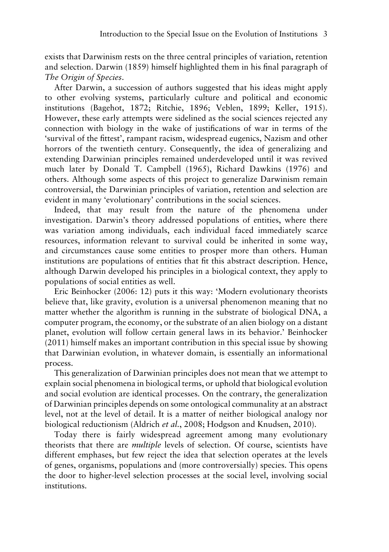exists that Darwinism rests on the three central principles of variation, retention and selection. Darwin (1859) himself highlighted them in his final paragraph of *The Origin of Species*.

After Darwin, a succession of authors suggested that his ideas might apply to other evolving systems, particularly culture and political and economic institutions (Bagehot, 1872; Ritchie, 1896; Veblen, 1899; Keller, 1915). However, these early attempts were sidelined as the social sciences rejected any connection with biology in the wake of justifications of war in terms of the 'survival of the fittest', rampant racism, widespread eugenics, Nazism and other horrors of the twentieth century. Consequently, the idea of generalizing and extending Darwinian principles remained underdeveloped until it was revived much later by Donald T. Campbell (1965), Richard Dawkins (1976) and others. Although some aspects of this project to generalize Darwinism remain controversial, the Darwinian principles of variation, retention and selection are evident in many 'evolutionary' contributions in the social sciences.

Indeed, that may result from the nature of the phenomena under investigation. Darwin's theory addressed populations of entities, where there was variation among individuals, each individual faced immediately scarce resources, information relevant to survival could be inherited in some way, and circumstances cause some entities to prosper more than others. Human institutions are populations of entities that fit this abstract description. Hence, although Darwin developed his principles in a biological context, they apply to populations of social entities as well.

Eric Beinhocker (2006: 12) puts it this way: 'Modern evolutionary theorists believe that, like gravity, evolution is a universal phenomenon meaning that no matter whether the algorithm is running in the substrate of biological DNA, a computer program, the economy, or the substrate of an alien biology on a distant planet, evolution will follow certain general laws in its behavior.' Beinhocker (2011) himself makes an important contribution in this special issue by showing that Darwinian evolution, in whatever domain, is essentially an informational process.

This generalization of Darwinian principles does not mean that we attempt to explain social phenomena in biological terms, or uphold that biological evolution and social evolution are identical processes. On the contrary, the generalization of Darwinian principles depends on some ontological communality at an abstract level, not at the level of detail. It is a matter of neither biological analogy nor biological reductionism (Aldrich *et al.*, 2008; Hodgson and Knudsen, 2010).

Today there is fairly widespread agreement among many evolutionary theorists that there are *multiple* levels of selection. Of course, scientists have different emphases, but few reject the idea that selection operates at the levels of genes, organisms, populations and (more controversially) species. This opens the door to higher-level selection processes at the social level, involving social institutions.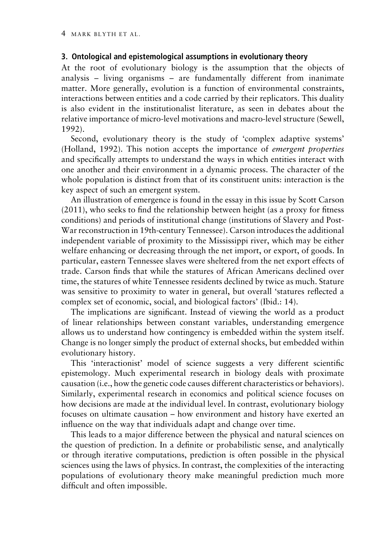### **3. Ontological and epistemological assumptions in evolutionary theory**

At the root of evolutionary biology is the assumption that the objects of analysis – living organisms – are fundamentally different from inanimate matter. More generally, evolution is a function of environmental constraints, interactions between entities and a code carried by their replicators. This duality is also evident in the institutionalist literature, as seen in debates about the relative importance of micro-level motivations and macro-level structure (Sewell, 1992).

Second, evolutionary theory is the study of 'complex adaptive systems' (Holland, 1992). This notion accepts the importance of *emergent properties* and specifically attempts to understand the ways in which entities interact with one another and their environment in a dynamic process. The character of the whole population is distinct from that of its constituent units: interaction is the key aspect of such an emergent system.

An illustration of emergence is found in the essay in this issue by Scott Carson (2011), who seeks to find the relationship between height (as a proxy for fitness conditions) and periods of institutional change (institutions of Slavery and Post-War reconstruction in 19th-century Tennessee). Carson introduces the additional independent variable of proximity to the Mississippi river, which may be either welfare enhancing or decreasing through the net import, or export, of goods. In particular, eastern Tennessee slaves were sheltered from the net export effects of trade. Carson finds that while the statures of African Americans declined over time, the statures of white Tennessee residents declined by twice as much. Stature was sensitive to proximity to water in general, but overall 'statures reflected a complex set of economic, social, and biological factors' (Ibid.: 14).

The implications are significant. Instead of viewing the world as a product of linear relationships between constant variables, understanding emergence allows us to understand how contingency is embedded within the system itself. Change is no longer simply the product of external shocks, but embedded within evolutionary history.

This 'interactionist' model of science suggests a very different scientific epistemology. Much experimental research in biology deals with proximate causation (i.e., how the genetic code causes different characteristics or behaviors). Similarly, experimental research in economics and political science focuses on how decisions are made at the individual level. In contrast, evolutionary biology focuses on ultimate causation – how environment and history have exerted an influence on the way that individuals adapt and change over time.

This leads to a major difference between the physical and natural sciences on the question of prediction. In a definite or probabilistic sense, and analytically or through iterative computations, prediction is often possible in the physical sciences using the laws of physics. In contrast, the complexities of the interacting populations of evolutionary theory make meaningful prediction much more difficult and often impossible.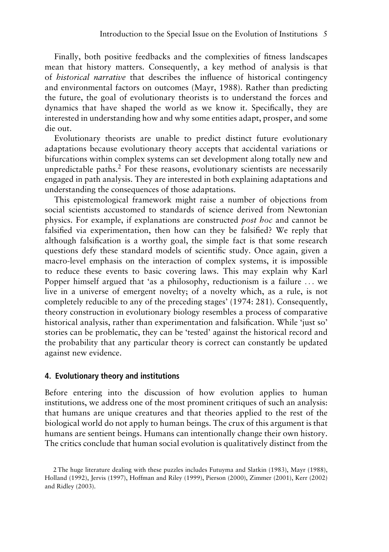Finally, both positive feedbacks and the complexities of fitness landscapes mean that history matters. Consequently, a key method of analysis is that of *historical narrative* that describes the influence of historical contingency and environmental factors on outcomes (Mayr, 1988). Rather than predicting the future, the goal of evolutionary theorists is to understand the forces and dynamics that have shaped the world as we know it. Specifically, they are interested in understanding how and why some entities adapt, prosper, and some die out.

Evolutionary theorists are unable to predict distinct future evolutionary adaptations because evolutionary theory accepts that accidental variations or bifurcations within complex systems can set development along totally new and unpredictable paths. ${}^{2}$  For these reasons, evolutionary scientists are necessarily engaged in path analysis. They are interested in both explaining adaptations and understanding the consequences of those adaptations.

This epistemological framework might raise a number of objections from social scientists accustomed to standards of science derived from Newtonian physics. For example, if explanations are constructed *post hoc* and cannot be falsified via experimentation, then how can they be falsified? We reply that although falsification is a worthy goal, the simple fact is that some research questions defy these standard models of scientific study. Once again, given a macro-level emphasis on the interaction of complex systems, it is impossible to reduce these events to basic covering laws. This may explain why Karl Popper himself argued that 'as a philosophy, reductionism is a failure *...* we live in a universe of emergent novelty; of a novelty which, as a rule, is not completely reducible to any of the preceding stages' (1974: 281). Consequently, theory construction in evolutionary biology resembles a process of comparative historical analysis, rather than experimentation and falsification. While 'just so' stories can be problematic, they can be 'tested' against the historical record and the probability that any particular theory is correct can constantly be updated against new evidence.

## **4. Evolutionary theory and institutions**

Before entering into the discussion of how evolution applies to human institutions, we address one of the most prominent critiques of such an analysis: that humans are unique creatures and that theories applied to the rest of the biological world do not apply to human beings. The crux of this argument is that humans are sentient beings. Humans can intentionally change their own history. The critics conclude that human social evolution is qualitatively distinct from the

<sup>2</sup> The huge literature dealing with these puzzles includes Futuyma and Slatkin (1983), Mayr (1988), Holland (1992), Jervis (1997), Hoffman and Riley (1999), Pierson (2000), Zimmer (2001), Kerr (2002) and Ridley (2003).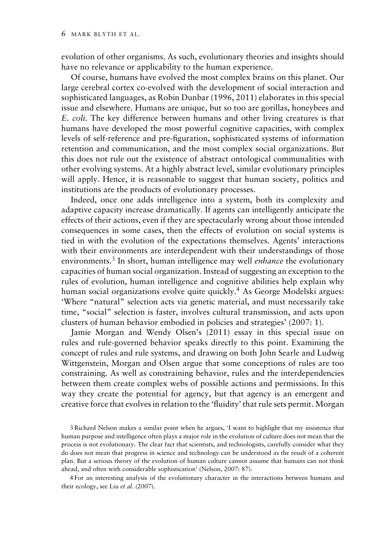evolution of other organisms. As such, evolutionary theories and insights should have no relevance or applicability to the human experience.

Of course, humans have evolved the most complex brains on this planet. Our large cerebral cortex co-evolved with the development of social interaction and sophisticated languages, as Robin Dunbar (1996, 2011) elaborates in this special issue and elsewhere. Humans are unique, but so too are gorillas, honeybees and *E. coli*. The key difference between humans and other living creatures is that humans have developed the most powerful cognitive capacities, with complex levels of self-reference and pre-figuration, sophisticated systems of information retention and communication, and the most complex social organizations. But this does not rule out the existence of abstract ontological communalities with other evolving systems. At a highly abstract level, similar evolutionary principles will apply. Hence, it is reasonable to suggest that human society, politics and institutions are the products of evolutionary processes.

Indeed, once one adds intelligence into a system, both its complexity and adaptive capacity increase dramatically. If agents can intelligently anticipate the effects of their actions, even if they are spectacularly wrong about those intended consequences in some cases, then the effects of evolution on social systems is tied in with the evolution of the expectations themselves. Agents' interactions with their environments are interdependent with their understandings of those environments.<sup>3</sup> In short, human intelligence may well *enhance* the evolutionary capacities of human social organization. Instead of suggesting an exception to the rules of evolution, human intelligence and cognitive abilities help explain why human social organizations evolve quite quickly.<sup>4</sup> As George Modelski argues: 'Where "natural" selection acts via genetic material, and must necessarily take time, "social" selection is faster, involves cultural transmission, and acts upon clusters of human behavior embodied in policies and strategies' (2007: 1).

Jamie Morgan and Wendy Olsen's (2011) essay in this special issue on rules and rule-governed behavior speaks directly to this point. Examining the concept of rules and rule systems, and drawing on both John Searle and Ludwig Wittgenstein, Morgan and Olsen argue that some conceptions of rules are too constraining. As well as constraining behavior, rules and the interdependencies between them create complex webs of possible actions and permissions. In this way they create the potential for agency, but that agency is an emergent and creative force that evolves in relation to the 'fluidity' that rule sets permit. Morgan

3 Richard Nelson makes a similar point when he argues, 'I want to highlight that my insistence that human purpose and intelligence often plays a major role in the evolution of culture does not mean that the process is not evolutionary. The clear fact that scientists, and technologists, carefully consider what they do does not mean that progress in science and technology can be understood as the result of a coherent plan. But a serious theory of the evolution of human culture cannot assume that humans can not think ahead, and often with considerable sophistication' (Nelson, 2007: 87).

4 For an interesting analysis of the evolutionary character in the interactions between humans and their ecology, see Liu *et al.* (2007).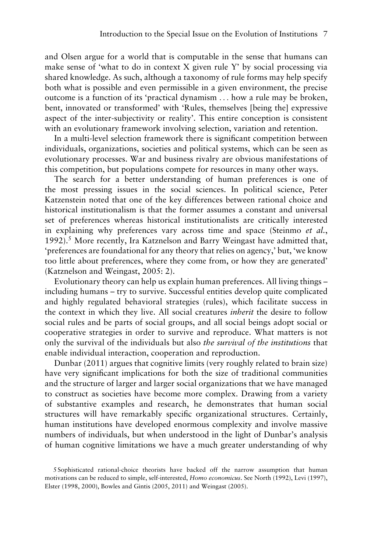and Olsen argue for a world that is computable in the sense that humans can make sense of 'what to do in context X given rule Y' by social processing via shared knowledge. As such, although a taxonomy of rule forms may help specify both what is possible and even permissible in a given environment, the precise outcome is a function of its 'practical dynamism *...* how a rule may be broken, bent, innovated or transformed' with 'Rules, themselves [being the] expressive aspect of the inter-subjectivity or reality'. This entire conception is consistent with an evolutionary framework involving selection, variation and retention.

In a multi-level selection framework there is significant competition between individuals, organizations, societies and political systems, which can be seen as evolutionary processes. War and business rivalry are obvious manifestations of this competition, but populations compete for resources in many other ways.

The search for a better understanding of human preferences is one of the most pressing issues in the social sciences. In political science, Peter Katzenstein noted that one of the key differences between rational choice and historical institutionalism is that the former assumes a constant and universal set of preferences whereas historical institutionalists are critically interested in explaining why preferences vary across time and space (Steinmo *et al.*, 1992).<sup>5</sup> More recently, Ira Katznelson and Barry Weingast have admitted that, 'preferences are foundational for any theory that relies on agency,' but, 'we know too little about preferences, where they come from, or how they are generated' (Katznelson and Weingast, 2005: 2).

Evolutionary theory can help us explain human preferences. All living things – including humans – try to survive. Successful entities develop quite complicated and highly regulated behavioral strategies (rules), which facilitate success in the context in which they live. All social creatures *inherit* the desire to follow social rules and be parts of social groups, and all social beings adopt social or cooperative strategies in order to survive and reproduce. What matters is not only the survival of the individuals but also *the survival of the institutions* that enable individual interaction, cooperation and reproduction.

Dunbar (2011) argues that cognitive limits (very roughly related to brain size) have very significant implications for both the size of traditional communities and the structure of larger and larger social organizations that we have managed to construct as societies have become more complex. Drawing from a variety of substantive examples and research, he demonstrates that human social structures will have remarkably specific organizational structures. Certainly, human institutions have developed enormous complexity and involve massive numbers of individuals, but when understood in the light of Dunbar's analysis of human cognitive limitations we have a much greater understanding of why

<sup>5</sup> Sophisticated rational-choice theorists have backed off the narrow assumption that human motivations can be reduced to simple, self-interested, *Homo economicus*. See North (1992), Levi (1997), Elster (1998, 2000), Bowles and Gintis (2005, 2011) and Weingast (2005).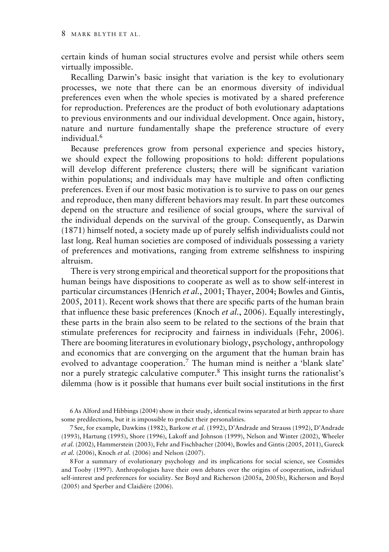certain kinds of human social structures evolve and persist while others seem virtually impossible.

Recalling Darwin's basic insight that variation is the key to evolutionary processes, we note that there can be an enormous diversity of individual preferences even when the whole species is motivated by a shared preference for reproduction. Preferences are the product of both evolutionary adaptations to previous environments and our individual development. Once again, history, nature and nurture fundamentally shape the preference structure of every individual.6

Because preferences grow from personal experience and species history, we should expect the following propositions to hold: different populations will develop different preference clusters; there will be significant variation within populations; and individuals may have multiple and often conflicting preferences. Even if our most basic motivation is to survive to pass on our genes and reproduce, then many different behaviors may result. In part these outcomes depend on the structure and resilience of social groups, where the survival of the individual depends on the survival of the group. Consequently, as Darwin (1871) himself noted, a society made up of purely selfish individualists could not last long. Real human societies are composed of individuals possessing a variety of preferences and motivations, ranging from extreme selfishness to inspiring altruism.

There is very strong empirical and theoretical support for the propositions that human beings have dispositions to cooperate as well as to show self-interest in particular circumstances (Henrich *et al.*, 2001; Thayer, 2004; Bowles and Gintis, 2005, 2011). Recent work shows that there are specific parts of the human brain that influence these basic preferences (Knoch *et al.*, 2006). Equally interestingly, these parts in the brain also seem to be related to the sections of the brain that stimulate preferences for reciprocity and fairness in individuals (Fehr, 2006). There are booming literatures in evolutionary biology, psychology, anthropology and economics that are converging on the argument that the human brain has evolved to advantage cooperation.<sup>7</sup> The human mind is neither a 'blank slate' nor a purely strategic calculative computer.<sup>8</sup> This insight turns the rationalist's dilemma (how is it possible that humans ever built social institutions in the first

6 As Alford and Hibbings (2004) show in their study, identical twins separated at birth appear to share some predilections, but it is impossible to predict their personalities.

7 See, for example, Dawkins (1982), Barkow *et al.* (1992), D'Andrade and Strauss (1992), D'Andrade (1993), Hartung (1995), Shore (1996), Lakoff and Johnson (1999), Nelson and Winter (2002), Wheeler *et al.* (2002), Hammerstein (2003), Fehr and Fischbacher (2004), Bowles and Gintis (2005, 2011), Gureck *et al.* (2006), Knoch *et al.* (2006) and Nelson (2007).

8 For a summary of evolutionary psychology and its implications for social science, see Cosmides and Tooby (1997). Anthropologists have their own debates over the origins of cooperation, individual self-interest and preferences for sociality. See Boyd and Richerson (2005a, 2005b), Richerson and Boyd (2005) and Sperber and Claidière (2006).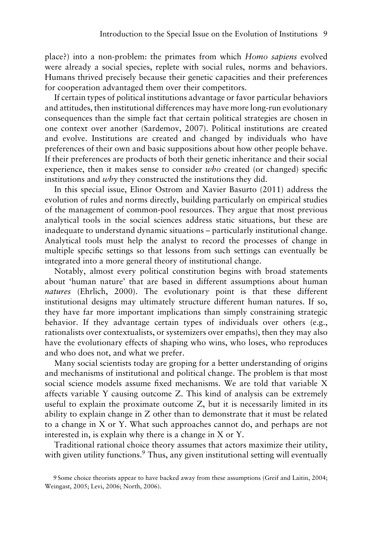place?) into a non-problem: the primates from which *Homo sapiens* evolved were already a social species, replete with social rules, norms and behaviors. Humans thrived precisely because their genetic capacities and their preferences for cooperation advantaged them over their competitors.

If certain types of political institutions advantage or favor particular behaviors and attitudes, then institutional differences may have more long-run evolutionary consequences than the simple fact that certain political strategies are chosen in one context over another (Sardemov, 2007). Political institutions are created and evolve. Institutions are created and changed by individuals who have preferences of their own and basic suppositions about how other people behave. If their preferences are products of both their genetic inheritance and their social experience, then it makes sense to consider *who* created (or changed) specific institutions and *why* they constructed the institutions they did.

In this special issue, Elinor Ostrom and Xavier Basurto (2011) address the evolution of rules and norms directly, building particularly on empirical studies of the management of common-pool resources. They argue that most previous analytical tools in the social sciences address static situations, but these are inadequate to understand dynamic situations – particularly institutional change. Analytical tools must help the analyst to record the processes of change in multiple specific settings so that lessons from such settings can eventually be integrated into a more general theory of institutional change.

Notably, almost every political constitution begins with broad statements about 'human nature' that are based in different assumptions about human *natures* (Ehrlich, 2000). The evolutionary point is that these different institutional designs may ultimately structure different human natures. If so, they have far more important implications than simply constraining strategic behavior. If they advantage certain types of individuals over others (e.g., rationalists over contextualists, or systemizers over empaths), then they may also have the evolutionary effects of shaping who wins, who loses, who reproduces and who does not, and what we prefer.

Many social scientists today are groping for a better understanding of origins and mechanisms of institutional and political change. The problem is that most social science models assume fixed mechanisms. We are told that variable X affects variable Y causing outcome Z. This kind of analysis can be extremely useful to explain the proximate outcome Z, but it is necessarily limited in its ability to explain change in Z other than to demonstrate that it must be related to a change in X or Y. What such approaches cannot do, and perhaps are not interested in, is explain why there is a change in X or Y.

Traditional rational choice theory assumes that actors maximize their utility, with given utility functions.<sup>9</sup> Thus, any given institutional setting will eventually

<sup>9</sup> Some choice theorists appear to have backed away from these assumptions (Greif and Laitin, 2004; Weingast, 2005; Levi, 2006; North, 2006).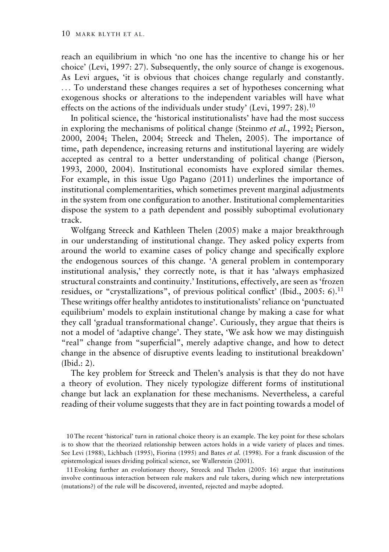reach an equilibrium in which 'no one has the incentive to change his or her choice' (Levi, 1997: 27). Subsequently, the only source of change is exogenous. As Levi argues, 'it is obvious that choices change regularly and constantly. *...* To understand these changes requires a set of hypotheses concerning what exogenous shocks or alterations to the independent variables will have what effects on the actions of the individuals under study' (Levi, 1997: 28).<sup>10</sup>

In political science, the 'historical institutionalists' have had the most success in exploring the mechanisms of political change (Steinmo *et al.*, 1992; Pierson, 2000, 2004; Thelen, 2004; Streeck and Thelen, 2005). The importance of time, path dependence, increasing returns and institutional layering are widely accepted as central to a better understanding of political change (Pierson, 1993, 2000, 2004). Institutional economists have explored similar themes. For example, in this issue Ugo Pagano (2011) underlines the importance of institutional complementarities, which sometimes prevent marginal adjustments in the system from one configuration to another. Institutional complementarities dispose the system to a path dependent and possibly suboptimal evolutionary track.

Wolfgang Streeck and Kathleen Thelen (2005) make a major breakthrough in our understanding of institutional change. They asked policy experts from around the world to examine cases of policy change and specifically explore the endogenous sources of this change. 'A general problem in contemporary institutional analysis,' they correctly note, is that it has 'always emphasized structural constraints and continuity.' Institutions, effectively, are seen as 'frozen residues, or "crystallizations", of previous political conflict' (Ibid., 2005: 6).<sup>11</sup> These writings offer healthy antidotes to institutionalists' reliance on 'punctuated equilibrium' models to explain institutional change by making a case for what they call 'gradual transformational change'. Curiously, they argue that theirs is not a model of 'adaptive change'. They state, 'We ask how we may distinguish "real" change from "superficial", merely adaptive change, and how to detect change in the absence of disruptive events leading to institutional breakdown' (Ibid.: 2).

The key problem for Streeck and Thelen's analysis is that they do not have a theory of evolution. They nicely typologize different forms of institutional change but lack an explanation for these mechanisms. Nevertheless, a careful reading of their volume suggests that they are in fact pointing towards a model of

<sup>10</sup> The recent 'historical' turn in rational choice theory is an example. The key point for these scholars is to show that the theorized relationship between actors holds in a wide variety of places and times. See Levi (1988), Lichbach (1995), Fiorina (1995) and Bates *et al.* (1998). For a frank discussion of the epistemological issues dividing political science, see Wallerstein (2001).

<sup>11</sup> Evoking further an evolutionary theory, Streeck and Thelen (2005: 16) argue that institutions involve continuous interaction between rule makers and rule takers, during which new interpretations (mutations?) of the rule will be discovered, invented, rejected and maybe adopted.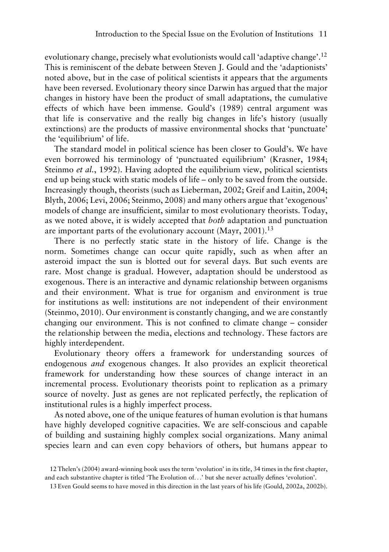evolutionary change, precisely what evolutionists would call 'adaptive change'.<sup>12</sup> This is reminiscent of the debate between Steven J. Gould and the 'adaptionists' noted above, but in the case of political scientists it appears that the arguments have been reversed. Evolutionary theory since Darwin has argued that the major changes in history have been the product of small adaptations, the cumulative effects of which have been immense. Gould's (1989) central argument was that life is conservative and the really big changes in life's history (usually extinctions) are the products of massive environmental shocks that 'punctuate' the 'equilibrium' of life.

The standard model in political science has been closer to Gould's. We have even borrowed his terminology of 'punctuated equilibrium' (Krasner, 1984; Steinmo *et al.*, 1992). Having adopted the equilibrium view, political scientists end up being stuck with static models of life – only to be saved from the outside. Increasingly though, theorists (such as Lieberman, 2002; Greif and Laitin, 2004; Blyth, 2006; Levi, 2006; Steinmo, 2008) and many others argue that 'exogenous' models of change are insufficient, similar to most evolutionary theorists. Today, as we noted above, it is widely accepted that *both* adaptation and punctuation are important parts of the evolutionary account (Mayr, 2001).<sup>13</sup>

There is no perfectly static state in the history of life. Change is the norm. Sometimes change can occur quite rapidly, such as when after an asteroid impact the sun is blotted out for several days. But such events are rare. Most change is gradual. However, adaptation should be understood as exogenous. There is an interactive and dynamic relationship between organisms and their environment. What is true for organism and environment is true for institutions as well: institutions are not independent of their environment (Steinmo, 2010). Our environment is constantly changing, and we are constantly changing our environment. This is not confined to climate change – consider the relationship between the media, elections and technology. These factors are highly interdependent.

Evolutionary theory offers a framework for understanding sources of endogenous *and* exogenous changes. It also provides an explicit theoretical framework for understanding how these sources of change interact in an incremental process. Evolutionary theorists point to replication as a primary source of novelty. Just as genes are not replicated perfectly, the replication of institutional rules is a highly imperfect process.

As noted above, one of the unique features of human evolution is that humans have highly developed cognitive capacities. We are self-conscious and capable of building and sustaining highly complex social organizations. Many animal species learn and can even copy behaviors of others, but humans appear to

<sup>12</sup> Thelen's (2004) award-winning book uses the term 'evolution' in its title, 34 times in the first chapter, and each substantive chapter is titled 'The Evolution of*...*' but she never actually defines 'evolution'.

<sup>13</sup> Even Gould seems to have moved in this direction in the last years of his life (Gould, 2002a, 2002b).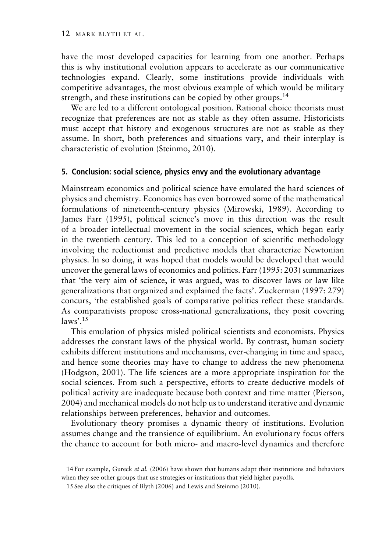have the most developed capacities for learning from one another. Perhaps this is why institutional evolution appears to accelerate as our communicative technologies expand. Clearly, some institutions provide individuals with competitive advantages, the most obvious example of which would be military strength, and these institutions can be copied by other groups.<sup>14</sup>

We are led to a different ontological position. Rational choice theorists must recognize that preferences are not as stable as they often assume. Historicists must accept that history and exogenous structures are not as stable as they assume. In short, both preferences and situations vary, and their interplay is characteristic of evolution (Steinmo, 2010).

#### **5. Conclusion: social science, physics envy and the evolutionary advantage**

Mainstream economics and political science have emulated the hard sciences of physics and chemistry. Economics has even borrowed some of the mathematical formulations of nineteenth-century physics (Mirowski, 1989). According to James Farr (1995), political science's move in this direction was the result of a broader intellectual movement in the social sciences, which began early in the twentieth century. This led to a conception of scientific methodology involving the reductionist and predictive models that characterize Newtonian physics. In so doing, it was hoped that models would be developed that would uncover the general laws of economics and politics. Farr (1995: 203) summarizes that 'the very aim of science, it was argued, was to discover laws or law like generalizations that organized and explained the facts'. Zuckerman (1997: 279) concurs, 'the established goals of comparative politics reflect these standards. As comparativists propose cross-national generalizations, they posit covering  $\text{laws}$ <sup>15</sup>

This emulation of physics misled political scientists and economists. Physics addresses the constant laws of the physical world. By contrast, human society exhibits different institutions and mechanisms, ever-changing in time and space, and hence some theories may have to change to address the new phenomena (Hodgson, 2001). The life sciences are a more appropriate inspiration for the social sciences. From such a perspective, efforts to create deductive models of political activity are inadequate because both context and time matter (Pierson, 2004) and mechanical models do not help us to understand iterative and dynamic relationships between preferences, behavior and outcomes.

Evolutionary theory promises a dynamic theory of institutions. Evolution assumes change and the transience of equilibrium. An evolutionary focus offers the chance to account for both micro- and macro-level dynamics and therefore

<sup>14</sup> For example, Gureck *et al.* (2006) have shown that humans adapt their institutions and behaviors when they see other groups that use strategies or institutions that yield higher payoffs.

<sup>15</sup> See also the critiques of Blyth (2006) and Lewis and Steinmo (2010).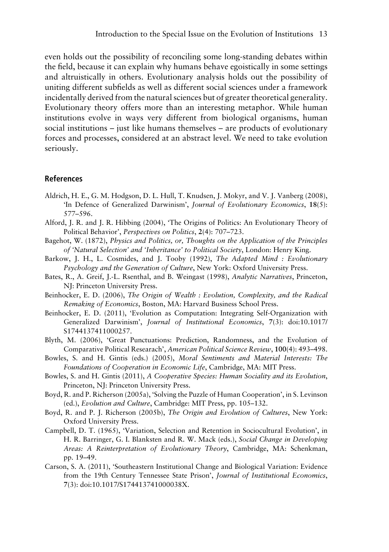even holds out the possibility of reconciling some long-standing debates within the field, because it can explain why humans behave egoistically in some settings and altruistically in others. Evolutionary analysis holds out the possibility of uniting different subfields as well as different social sciences under a framework incidentally derived from the natural sciences but of greater theoretical generality. Evolutionary theory offers more than an interesting metaphor. While human institutions evolve in ways very different from biological organisms, human social institutions – just like humans themselves – are products of evolutionary forces and processes, considered at an abstract level. We need to take evolution seriously.

# **References**

- Aldrich, H. E., G. M. Hodgson, D. L. Hull, T. Knudsen, J. Mokyr, and V. J. Vanberg (2008), 'In Defence of Generalized Darwinism', *Journal of Evolutionary Economics*, **18**(5): 577–596.
- Alford, J. R. and J. R. Hibbing (2004), 'The Origins of Politics: An Evolutionary Theory of Political Behavior', *Perspectives on Politics*, **2**(4): 707–723.
- Bagehot, W. (1872), *Physics and Politics, or, Thoughts on the Application of the Principles of 'Natural Selection' and 'Inheritance' to Political Society*, London: Henry King.
- Barkow, J. H., L. Cosmides, and J. Tooby (1992), *The Adapted Mind : Evolutionary Psychology and the Generation of Culture*, New York: Oxford University Press.
- Bates, R., A. Greif, J.-L. Rsenthal, and B. Weingast (1998), *Analytic Narratives*, Princeton, NJ: Princeton University Press.
- Beinhocker, E. D. (2006), *The Origin of Wealth : Evolution, Complexity, and the Radical Remaking of Economics*, Boston, MA: Harvard Business School Press.
- Beinhocker, E. D. (2011), 'Evolution as Computation: Integrating Self-Organization with Generalized Darwinism', *Journal of Institutional Economics*, **7**(3): doi:10.1017/ S1744137411000257.
- Blyth, M. (2006), 'Great Punctuations: Prediction, Randomness, and the Evolution of Comparative Political Researach', *American Political Science Review*, **100**(4): 493–498.
- Bowles, S. and H. Gintis (eds.) (2005), *Moral Sentiments and Material Interests: The Foundations of Cooperation in Economic Life*, Cambridge, MA: MIT Press.
- Bowles, S. and H. Gintis (2011), *A Cooperative Species: Human Sociality and its Evolution*, Princeton, NJ: Princeton University Press.
- Boyd, R. and P. Richerson (2005a), 'Solving the Puzzle of Human Cooperation', in S. Levinson (ed.), *Evolution and Culture*, Cambridge: MIT Press, pp. 105–132.
- Boyd, R. and P. J. Richerson (2005b), *The Origin and Evolution of Cultures*, New York: Oxford University Press.
- Campbell, D. T. (1965), 'Variation, Selection and Retention in Sociocultural Evolution', in H. R. Barringer, G. I. Blanksten and R. W. Mack (eds.), *Social Change in Developing Areas: A Reinterpretation of Evolutionary Theory*, Cambridge, MA: Schenkman, pp. 19–49.
- Carson, S. A. (2011), 'Southeastern Institutional Change and Biological Variation: Evidence from the 19th Century Tennessee State Prison', *Journal of Institutional Economics*, **7**(3): doi:10.1017/S174413741000038X.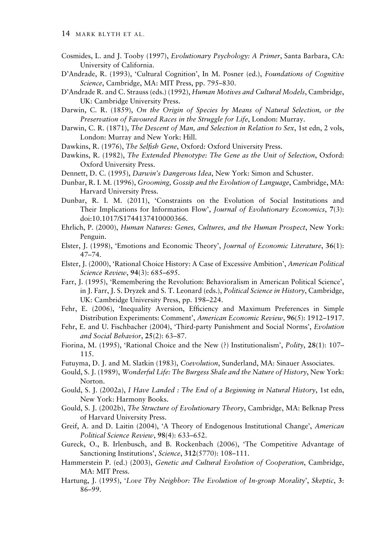- Cosmides, L. and J. Tooby (1997), *Evolutionary Psychology: A Primer*, Santa Barbara, CA: University of California.
- D'Andrade, R. (1993), 'Cultural Cognition', In M. Posner (ed.), *Foundations of Cognitive Science*, Cambridge, MA: MIT Press, pp. 795–830.
- D'Andrade R. and C. Strauss (eds.) (1992), *Human Motives and Cultural Models*, Cambridge, UK: Cambridge University Press.
- Darwin, C. R. (1859), *On the Origin of Species by Means of Natural Selection, or the Preservation of Favoured Races in the Struggle for Life*, London: Murray.
- Darwin, C. R. (1871), *The Descent of Man, and Selection in Relation to Sex*, 1st edn, 2 vols, London: Murray and New York: Hill.
- Dawkins, R. (1976), *The Selfish Gene*, Oxford: Oxford University Press.
- Dawkins, R. (1982), *The Extended Phenotype: The Gene as the Unit of Selection*, Oxford: Oxford University Press.
- Dennett, D. C. (1995), *Darwin's Dangerous Idea*, New York: Simon and Schuster.
- Dunbar, R. I. M. (1996), *Grooming, Gossip and the Evolution of Language*, Cambridge, MA: Harvard University Press.
- Dunbar, R. I. M. (2011), 'Constraints on the Evolution of Social Institutions and Their Implications for Information Flow', *Journal of Evolutionary Economics*, **7**(3): doi:10.1017/S1744137410000366.
- Ehrlich, P. (2000), *Human Natures: Genes, Cultures, and the Human Prospect*, New York: Penguin.
- Elster, J. (1998), 'Emotions and Economic Theory', *Journal of Economic Literature*, **36**(1): 47–74.
- Elster, J. (2000), 'Rational Choice History: A Case of Excessive Ambition', *American Political Science Review*, **94**(3): 685–695.
- Farr, J. (1995), 'Remembering the Revolution: Behavioralism in American Political Science', in J. Farr, J. S. Dryzek and S. T. Leonard (eds.), *Political Science in History*, Cambridge, UK: Cambridge University Press, pp. 198–224.
- Fehr, E. (2006), 'Inequality Aversion, Efficiency and Maximum Preferences in Simple Distribution Experiments: Comment', *American Economic Review*, **96**(5): 1912–1917.
- Fehr, E. and U. Fischbacher (2004), 'Third-party Punishment and Social Norms', *Evolution and Social Behavior*, **25**(2): 63–87.
- Fiorina, M. (1995), 'Rational Choice and the New (?) Institutionalism', *Polity*, **28**(1): 107– 115.
- Futuyma, D. J. and M. Slatkin (1983), *Coevolution*, Sunderland, MA: Sinauer Associates.
- Gould, S. J. (1989), *Wonderful Life: The Burgess Shale and the Nature of History*, New York: Norton.
- Gould, S. J. (2002a), *I Have Landed : The End of a Beginning in Natural History*, 1st edn, New York: Harmony Books.
- Gould, S. J. (2002b), *The Structure of Evolutionary Theory*, Cambridge, MA: Belknap Press of Harvard University Press.
- Greif, A. and D. Laitin (2004), 'A Theory of Endogenous Institutional Change', *American Political Science Review*, **98**(4): 633–652.
- Gureck, O., B. Irlenbusch, and B. Rockenbach (2006), 'The Competitive Advantage of Sanctioning Institutions', *Science*, **312**(5770): 108–111.
- Hammerstein P. (ed.) (2003), *Genetic and Cultural Evolution of Cooperation*, Cambridge, MA: MIT Press.
- Hartung, J. (1995), '*Love Thy Neighbor: The Evolution of In-group Morality*', *Skeptic*, **3**: 86–99.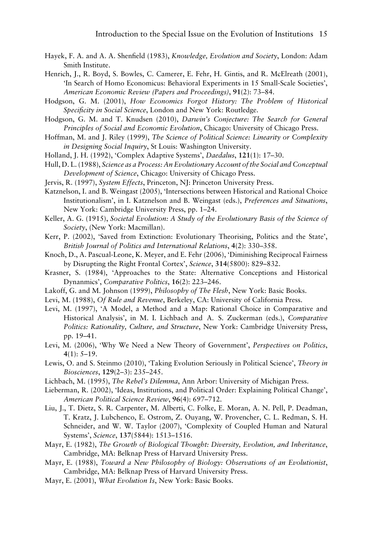- Hayek, F. A. and A. A. Shenfield (1983), *Knowledge, Evolution and Society*, London: Adam Smith Institute.
- Henrich, J., R. Boyd, S. Bowles, C. Camerer, E. Fehr, H. Gintis, and R. McElreath (2001), 'In Search of Homo Economicus: Behavioral Experiments in 15 Small-Scale Societies', *American Economic Review (Papers and Proceedings)*, **91**(2): 73–84.
- Hodgson, G. M. (2001), *How Economics Forgot History: The Problem of Historical Specificity in Social Science*, London and New York: Routledge.
- Hodgson, G. M. and T. Knudsen (2010), *Darwin's Conjecture: The Search for General Principles of Social and Economic Evolution*, Chicago: University of Chicago Press.
- Hoffman, M. and J. Riley (1999), *The Science of Political Science: Linearity or Complexity in Designing Social Inquiry*, St Louis: Washington University.
- Holland, J. H. (1992), 'Complex Adaptive Systems', *Daedalus*, **121**(1): 17–30.
- Hull, D. L. (1988), *Science as a Process: An Evolutionary Account of the Social and Conceptual Development of Science*, Chicago: University of Chicago Press.
- Jervis, R. (1997), *System Effects*, Princeton, NJ: Princeton University Press.
- Katznelson, I. and B. Weingast (2005), 'Intersections between Historical and Rational Choice Institutionalism', in I. Katznelson and B. Weingast (eds.), *Preferences and Situations*, New York: Cambridge University Press, pp. 1–24.
- Keller, A. G. (1915), *Societal Evolution: A Study of the Evolutionary Basis of the Science of Society*, (New York: Macmillan).
- Kerr, P. (2002), 'Saved from Extinction: Evolutionary Theorising, Politics and the State', *British Journal of Politics and International Relations*, **4**(2): 330–358.
- Knoch, D., A. Pascual-Leone, K. Meyer, and E. Fehr (2006), 'Diminishing Reciprocal Fairness by Disrupting the Right Frontal Cortex', *Science*, **314**(5800): 829–832.
- Krasner, S. (1984), 'Approaches to the State: Alternative Conceptions and Historical Dynanmics', *Comparative Politics*, **16**(2): 223–246.
- Lakoff, G. and M. Johnson (1999), *Philosophy of The Flesh*, New York: Basic Books.
- Levi, M. (1988), *Of Rule and Revenue*, Berkeley, CA: University of California Press.
- Levi, M. (1997), 'A Model, a Method and a Map: Rational Choice in Comparative and Historical Analysis', in M. I. Lichbach and A. S. Zuckerman (eds.), *Comparative Politics: Rationality, Culture, and Structure*, New York: Cambridge University Press, pp. 19–41.
- Levi, M. (2006), 'Why We Need a New Theory of Government', *Perspectives on Politics*, **4**(1): 5–19.
- Lewis, O. and S. Steinmo (2010), 'Taking Evolution Seriously in Political Science', *Theory in Biosciences*, **129**(2–3): 235–245.
- Lichbach, M. (1995), *The Rebel's Dilemma*, Ann Arbor: University of Michigan Press.
- Lieberman, R. (2002), 'Ideas, Institutions, and Political Order: Explaining Political Change', *American Political Science Review*, **96**(4): 697–712.
- Liu, J., T. Dietz, S. R. Carpenter, M. Alberti, C. Folke, E. Moran, A. N. Pell, P. Deadman, T. Kratz, J. Lubchenco, E. Ostrom, Z. Ouyang, W. Provencher, C. L. Redman, S. H. Schneider, and W. W. Taylor (2007), 'Complexity of Coupled Human and Natural Systems', *Science*, **137**(5844): 1513–1516.
- Mayr, E. (1982), *The Growth of Biological Thought: Diversity, Evolution, and Inheritance*, Cambridge, MA: Belknap Press of Harvard University Press.
- Mayr, E. (1988), *Toward a New Philosophy of Biology: Observations of an Evolutionist*, Cambridge, MA: Belknap Press of Harvard University Press.
- Mayr, E. (2001), *What Evolution Is*, New York: Basic Books.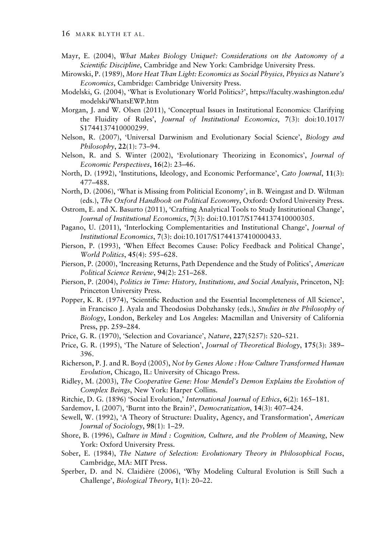- Mayr, E. (2004), *What Makes Biology Unique?: Considerations on the Autonomy of a Scientific Discipline*, Cambridge and New York: Cambridge University Press.
- Mirowski, P. (1989), *More Heat Than Light: Economics as Social Physics, Physics as Nature's Economics*, Cambridge: Cambridge University Press.
- Modelski, G. (2004), 'What is Evolutionary World Politics?', https://faculty.washington.edu/ modelski/WhatsEWP.htm
- Morgan, J. and W. Olsen (2011), 'Conceptual Issues in Institutional Economics: Clarifying the Fluidity of Rules', *Journal of Institutional Economics*, **7**(3): doi:10.1017/ S1744137410000299.
- Nelson, R. (2007), 'Universal Darwinism and Evolutionary Social Science', *Biology and Philosophy*, **22**(1): 73–94.
- Nelson, R. and S. Winter (2002), 'Evolutionary Theorizing in Economics', *Journal of Economic Perspectives*, **16**(2): 23–46.
- North, D. (1992), 'Institutions, Ideology, and Economic Performance', *Cato Journal*, **11**(3): 477–488.
- North, D. (2006), 'What is Missing from Politicial Economy', in B. Weingast and D. Wiltman (eds.), *The Oxford Handbook on Political Economy*, Oxford: Oxford University Press.
- Ostrom, E. and X. Basurto (2011), 'Crafting Analytical Tools to Study Institutional Change', *Journal of Institutional Economics*, **7**(3): doi:10.1017/S1744137410000305.
- Pagano, U. (2011), 'Interlocking Complementarities and Institutional Change', *Journal of Institutional Economics*, **7**(3): doi:10.1017/S1744137410000433.
- Pierson, P. (1993), 'When Effect Becomes Cause: Policy Feedback and Political Change', *World Politics*, **45**(4): 595–628.
- Pierson, P. (2000), 'Increasing Returns, Path Dependence and the Study of Politics', *American Political Science Review*, **94**(2): 251–268.
- Pierson, P. (2004), *Politics in Time: History, Institutions, and Social Analysis*, Princeton, NJ: Princeton University Press.
- Popper, K. R. (1974), 'Scientific Reduction and the Essential Incompleteness of All Science', in Francisco J. Ayala and Theodosius Dobzhansky (eds.), *Studies in the Philosophy of Biology*, London, Berkeley and Los Angeles: Macmillan and University of California Press, pp. 259–284.
- Price, G. R. (1970), 'Selection and Covariance', *Nature*, **227**(5257): 520–521.
- Price, G. R. (1995), 'The Nature of Selection', *Journal of Theoretical Biology*, **175**(3): 389– 396.
- Richerson, P. J. and R. Boyd (2005), *Not by Genes Alone : How Culture Transformed Human Evolution*, Chicago, IL: University of Chicago Press.
- Ridley, M. (2003), *The Cooperative Gene: How Mendel's Demon Explains the Evolution of Complex Beings*, New York: Harper Collins.
- Ritchie, D. G. (1896) 'Social Evolution,' *International Journal of Ethics*, **6**(2): 165–181.
- Sardemov, I. (2007), 'Burnt into the Brain?', *Democratization*, **14**(3): 407–424.
- Sewell, W. (1992), 'A Theory of Structure: Duality, Agency, and Transformation', *American Journal of Sociology*, **98**(1): 1–29.
- Shore, B. (1996), *Culture in Mind : Cognition, Culture, and the Problem of Meaning*, New York: Oxford University Press.
- Sober, E. (1984), *The Nature of Selection: Evolutionary Theory in Philosophical Focus*, Cambridge, MA: MIT Press.
- Sperber, D. and N. Claidiere (2006), 'Why Modeling Cultural Evolution is Still Such a ` Challenge', *Biological Theory*, **1**(1): 20–22.